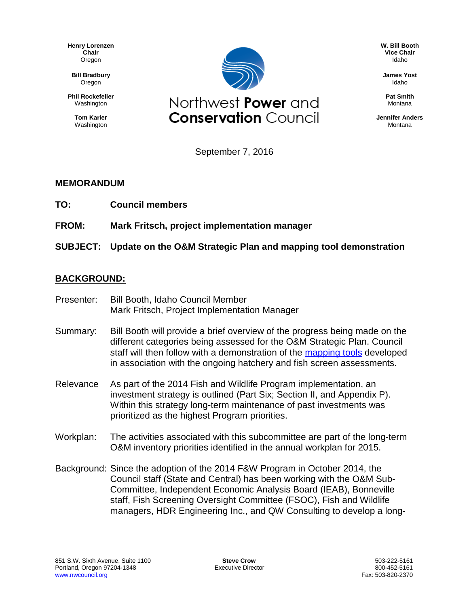**Henry Lorenzen Chair** Oregon

**Bill Bradbury** Oregon

**Phil Rockefeller** Washington

> **Tom Karier** Washington



**W. Bill Booth Vice Chair** Idaho

**James Yost** Idaho

**Pat Smith** Montana

**Jennifer Anders** Montana

September 7, 2016

## **MEMORANDUM**

**TO: Council members**

**FROM: Mark Fritsch, project implementation manager**

**SUBJECT: Update on the O&M Strategic Plan and mapping tool demonstration**

## **BACKGROUND:**

- Presenter: Bill Booth, Idaho Council Member Mark Fritsch, Project Implementation Manager
- Summary: Bill Booth will provide a brief overview of the progress being made on the different categories being assessed for the O&M Strategic Plan. Council staff will then follow with a demonstration of the [mapping tools](http://www.nwcouncil.org/fw/program/maps/) developed in association with the ongoing hatchery and fish screen assessments.
- Relevance As part of the 2014 Fish and Wildlife Program implementation, an investment strategy is outlined (Part Six; Section II, and Appendix P). Within this strategy long-term maintenance of past investments was prioritized as the highest Program priorities.
- Workplan: The activities associated with this subcommittee are part of the long-term O&M inventory priorities identified in the annual workplan for 2015.
- Background: Since the adoption of the 2014 F&W Program in October 2014, the Council staff (State and Central) has been working with the O&M Sub-Committee, Independent Economic Analysis Board (IEAB), Bonneville staff, Fish Screening Oversight Committee (FSOC), Fish and Wildlife managers, HDR Engineering Inc., and QW Consulting to develop a long-